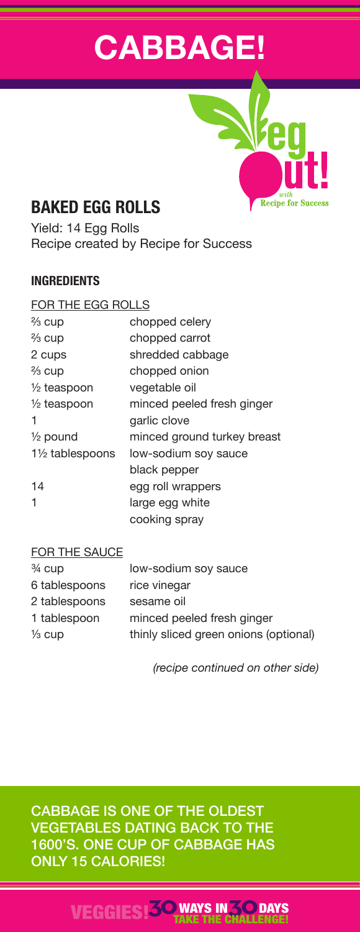# **CABBAGE!**

**Recipe for Success** 



Yield: 14 Egg Rolls Recipe created by Recipe for Success

## **INGREDIENTS**

| FOR THE EGG ROLLS      |                             |
|------------------------|-----------------------------|
| ⅔ cup                  | chopped celery              |
| $\frac{2}{3}$ cup      | chopped carrot              |
| 2 cups                 | shredded cabbage            |
| ⅔ cup                  | chopped onion               |
| $\frac{1}{2}$ teaspoon | vegetable oil               |
| $\frac{1}{2}$ teaspoon | minced peeled fresh ginger  |
|                        | garlic clove                |
| $\frac{1}{2}$ pound    | minced ground turkey breast |
| 11/2 tablespoons       | low-sodium soy sauce        |
|                        | black pepper                |
| 14                     | egg roll wrappers           |
| 1                      | large egg white             |
|                        | cooking spray               |

### FOR THE SAUCE

| $\frac{3}{4}$ cup | low-sodium soy sauce                  |
|-------------------|---------------------------------------|
| 6 tablespoons     | rice vinegar                          |
| 2 tablespoons     | sesame oil                            |
| 1 tablespoon      | minced peeled fresh ginger            |
| $\frac{1}{3}$ cup | thinly sliced green onions (optional) |

*(recipe continued on other side)*

CABBAGE IS ONE OF THE OLDEST VEGETABLES DATING BACK TO THE 1600'S. ONE CUP OF CABBAGE HAS ONLY 15 CALORIES!